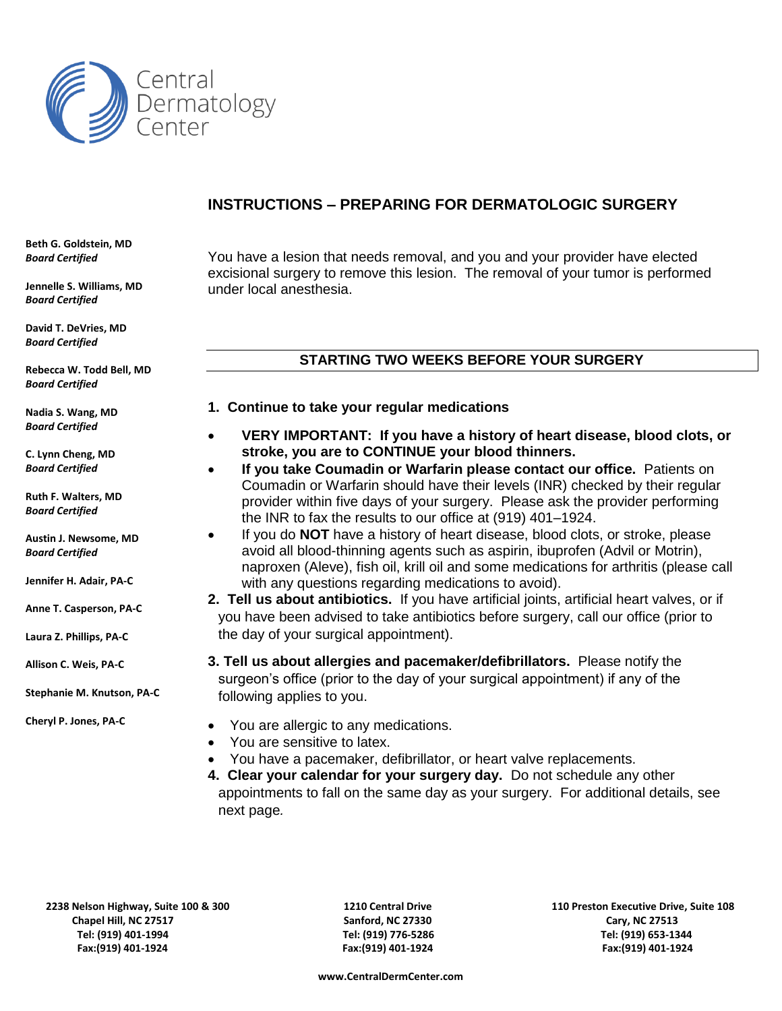

# **INSTRUCTIONS – PREPARING FOR DERMATOLOGIC SURGERY**

**Beth G. Goldstein, MD** *Board Certified*

**Jennelle S. Williams, MD** *Board Certified*

**David T. DeVries, MD** *Board Certified*

**Rebecca W. Todd Bell, MD** *Board Certified*

**Nadia S. Wang, MD** *Board Certified*

**C. Lynn Cheng, MD** *Board Certified*

**Ruth F. Walters, MD** *Board Certified*

**Austin J. Newsome, MD** *Board Certified*

**Jennifer H. Adair, PA-C**

**Anne T. Casperson, PA-C**

**Laura Z. Phillips, PA-C**

**Allison C. Weis, PA-C**

**Stephanie M. Knutson, PA-C M.** 

**Cheryl P. Jones, PA-C**

You have a lesion that needs removal, and you and your provider have elected excisional surgery to remove this lesion. The removal of your tumor is performed under local anesthesia.

# **STARTING TWO WEEKS BEFORE YOUR SURGERY**

### **1. Continue to take your regular medications**

- **VERY IMPORTANT: If you have a history of heart disease, blood clots, or stroke, you are to CONTINUE your blood thinners.**
- **If you take Coumadin or Warfarin please contact our office.** Patients on Coumadin or Warfarin should have their levels (INR) checked by their regular provider within five days of your surgery. Please ask the provider performing the INR to fax the results to our office at (919) 401–1924.
- If you do **NOT** have a history of heart disease, blood clots, or stroke, please avoid all blood-thinning agents such as aspirin, ibuprofen (Advil or Motrin), naproxen (Aleve), fish oil, krill oil and some medications for arthritis (please call with any questions regarding medications to avoid).
- **2. Tell us about antibiotics.** If you have artificial joints, artificial heart valves, or if you have been advised to take antibiotics before surgery, call our office (prior to the day of your surgical appointment).
- **3. Tell us about allergies and pacemaker/defibrillators.** Please notify the surgeon's office (prior to the day of your surgical appointment) if any of the following applies to you.
- You are allergic to any medications.
- You are sensitive to latex.
- You have a pacemaker, defibrillator, or heart valve replacements.
- **4. Clear your calendar for your surgery day.** Do not schedule any other appointments to fall on the same day as your surgery. For additional details, see next page*.*

**2238 Nelson Highway, Suite 100 & 300 1210 Central Drive 110 Preston Executive Drive, Suite 108 Chapel Hill, NC 27517 Sanford, NC 27330 Cary, NC 27513 Tel: (919) 401-1994 Tel: (919) 776-5286 Tel: (919) 653-1344 Fax:(919) 401-1924 Fax:(919) 401-1924 Fax:(919) 401-1924**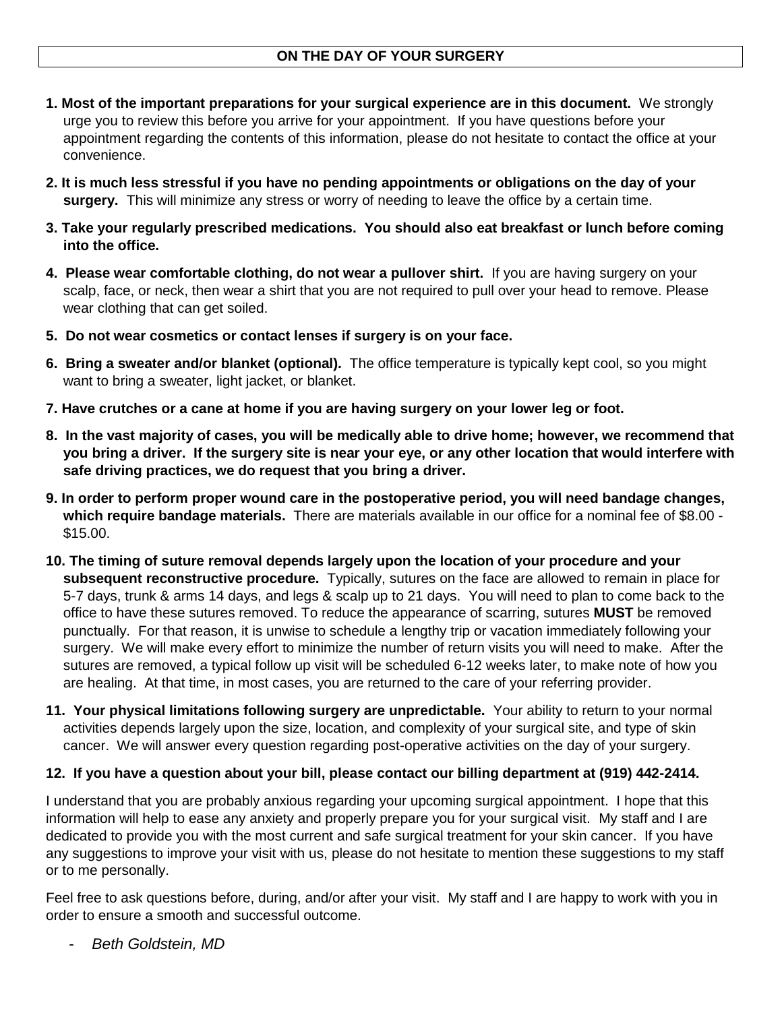- **1. Most of the important preparations for your surgical experience are in this document.** We strongly urge you to review this before you arrive for your appointment. If you have questions before your appointment regarding the contents of this information, please do not hesitate to contact the office at your convenience.
- **2. It is much less stressful if you have no pending appointments or obligations on the day of your surgery.** This will minimize any stress or worry of needing to leave the office by a certain time.
- **3. Take your regularly prescribed medications. You should also eat breakfast or lunch before coming into the office.**
- **4. Please wear comfortable clothing, do not wear a pullover shirt.** If you are having surgery on your scalp, face, or neck, then wear a shirt that you are not required to pull over your head to remove. Please wear clothing that can get soiled.
- **5. Do not wear cosmetics or contact lenses if surgery is on your face.**
- **6. Bring a sweater and/or blanket (optional).** The office temperature is typically kept cool, so you might want to bring a sweater, light jacket, or blanket.
- **7. Have crutches or a cane at home if you are having surgery on your lower leg or foot.**
- **8. In the vast majority of cases, you will be medically able to drive home; however, we recommend that you bring a driver. If the surgery site is near your eye, or any other location that would interfere with safe driving practices, we do request that you bring a driver.**
- **9. In order to perform proper wound care in the postoperative period, you will need bandage changes, which require bandage materials.** There are materials available in our office for a nominal fee of \$8.00 - \$15.00.
- **10. The timing of suture removal depends largely upon the location of your procedure and your subsequent reconstructive procedure.** Typically, sutures on the face are allowed to remain in place for 5-7 days, trunk & arms 14 days, and legs & scalp up to 21 days. You will need to plan to come back to the office to have these sutures removed. To reduce the appearance of scarring, sutures **MUST** be removed punctually. For that reason, it is unwise to schedule a lengthy trip or vacation immediately following your surgery. We will make every effort to minimize the number of return visits you will need to make. After the sutures are removed, a typical follow up visit will be scheduled 6-12 weeks later, to make note of how you are healing. At that time, in most cases, you are returned to the care of your referring provider.
- **11. Your physical limitations following surgery are unpredictable.** Your ability to return to your normal activities depends largely upon the size, location, and complexity of your surgical site, and type of skin cancer. We will answer every question regarding post-operative activities on the day of your surgery.

# **12. If you have a question about your bill, please contact our billing department at (919) 442-2414.**

I understand that you are probably anxious regarding your upcoming surgical appointment. I hope that this information will help to ease any anxiety and properly prepare you for your surgical visit. My staff and I are dedicated to provide you with the most current and safe surgical treatment for your skin cancer. If you have any suggestions to improve your visit with us, please do not hesitate to mention these suggestions to my staff or to me personally.

Feel free to ask questions before, during, and/or after your visit. My staff and I are happy to work with you in order to ensure a smooth and successful outcome.

- *Beth Goldstein, MD*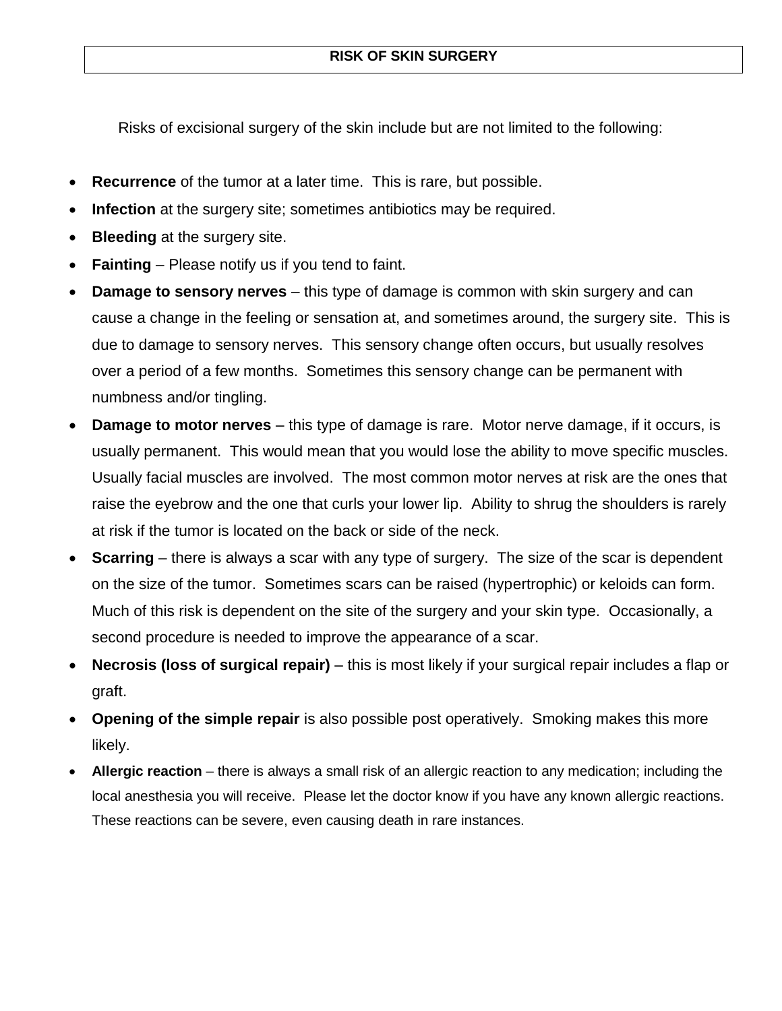Risks of excisional surgery of the skin include but are not limited to the following:

- **Recurrence** of the tumor at a later time. This is rare, but possible.
- **Infection** at the surgery site; sometimes antibiotics may be required.
- **Bleeding** at the surgery site.
- **Fainting** Please notify us if you tend to faint.
- **Damage to sensory nerves** this type of damage is common with skin surgery and can cause a change in the feeling or sensation at, and sometimes around, the surgery site. This is due to damage to sensory nerves. This sensory change often occurs, but usually resolves over a period of a few months. Sometimes this sensory change can be permanent with numbness and/or tingling.
- **Damage to motor nerves** this type of damage is rare. Motor nerve damage, if it occurs, is usually permanent. This would mean that you would lose the ability to move specific muscles. Usually facial muscles are involved. The most common motor nerves at risk are the ones that raise the eyebrow and the one that curls your lower lip. Ability to shrug the shoulders is rarely at risk if the tumor is located on the back or side of the neck.
- **Scarring** there is always a scar with any type of surgery. The size of the scar is dependent on the size of the tumor. Sometimes scars can be raised (hypertrophic) or keloids can form. Much of this risk is dependent on the site of the surgery and your skin type. Occasionally, a second procedure is needed to improve the appearance of a scar.
- **Necrosis (loss of surgical repair)** this is most likely if your surgical repair includes a flap or graft.
- **Opening of the simple repair** is also possible post operatively. Smoking makes this more likely.
- **Allergic reaction** there is always a small risk of an allergic reaction to any medication; including the local anesthesia you will receive. Please let the doctor know if you have any known allergic reactions. These reactions can be severe, even causing death in rare instances.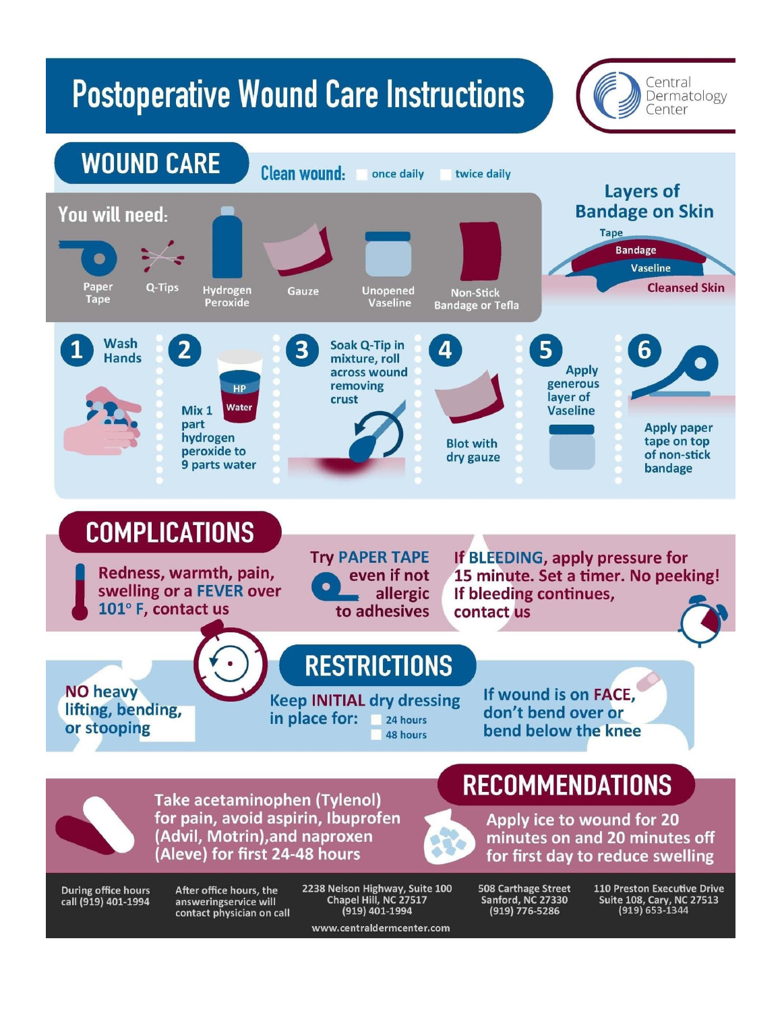# **Postoperative Wound Care Instructions**



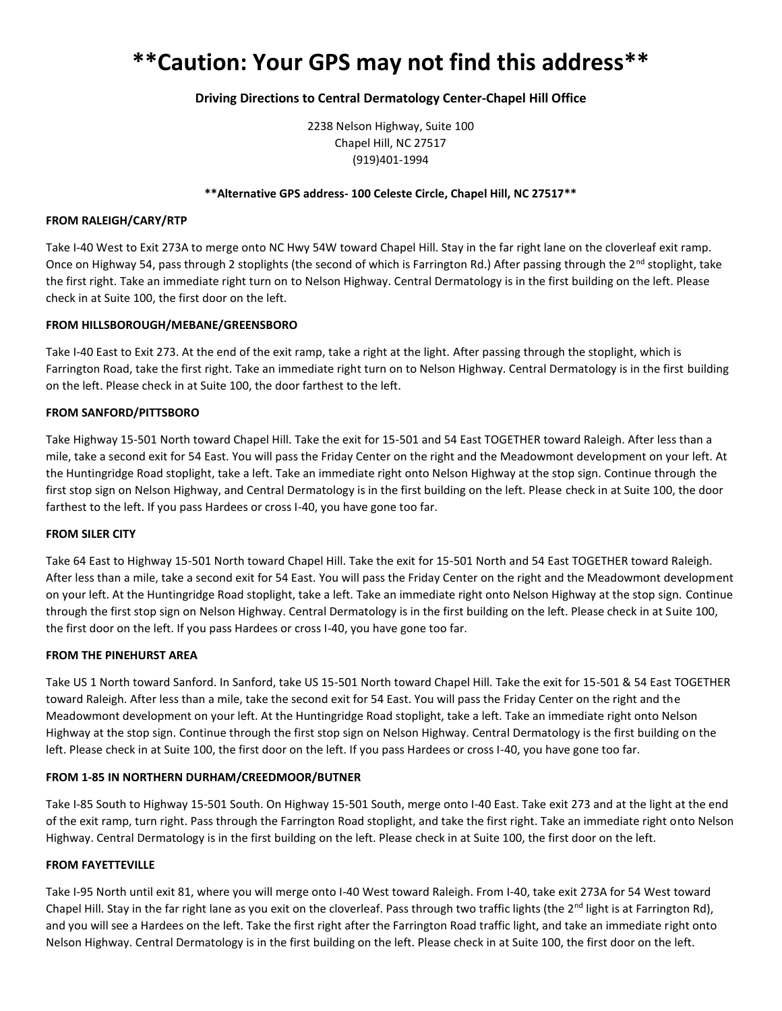# **\*\*Caution: Your GPS may not find this address\*\***

#### **Driving Directions to Central Dermatology Center-Chapel Hill Office**

2238 Nelson Highway, Suite 100 Chapel Hill, NC 27517 (919)401-1994

#### **\*\*Alternative GPS address- 100 Celeste Circle, Chapel Hill, NC 27517\*\***

#### **FROM RALEIGH/CARY/RTP**

Take I-40 West to Exit 273A to merge onto NC Hwy 54W toward Chapel Hill. Stay in the far right lane on the cloverleaf exit ramp. Once on Highway 54, pass through 2 stoplights (the second of which is Farrington Rd.) After passing through the  $2^{nd}$  stoplight, take the first right. Take an immediate right turn on to Nelson Highway. Central Dermatology is in the first building on the left. Please check in at Suite 100, the first door on the left.

#### **FROM HILLSBOROUGH/MEBANE/GREENSBORO**

Take I-40 East to Exit 273. At the end of the exit ramp, take a right at the light. After passing through the stoplight, which is Farrington Road, take the first right. Take an immediate right turn on to Nelson Highway. Central Dermatology is in the first building on the left. Please check in at Suite 100, the door farthest to the left.

#### **FROM SANFORD/PITTSBORO**

Take Highway 15-501 North toward Chapel Hill. Take the exit for 15-501 and 54 East TOGETHER toward Raleigh. After less than a mile, take a second exit for 54 East. You will pass the Friday Center on the right and the Meadowmont development on your left. At the Huntingridge Road stoplight, take a left. Take an immediate right onto Nelson Highway at the stop sign. Continue through the first stop sign on Nelson Highway, and Central Dermatology is in the first building on the left. Please check in at Suite 100, the door farthest to the left. If you pass Hardees or cross I-40, you have gone too far.

#### **FROM SILER CITY**

Take 64 East to Highway 15-501 North toward Chapel Hill. Take the exit for 15-501 North and 54 East TOGETHER toward Raleigh. After less than a mile, take a second exit for 54 East. You will pass the Friday Center on the right and the Meadowmont development on your left. At the Huntingridge Road stoplight, take a left. Take an immediate right onto Nelson Highway at the stop sign. Continue through the first stop sign on Nelson Highway. Central Dermatology is in the first building on the left. Please check in at Suite 100, the first door on the left. If you pass Hardees or cross I-40, you have gone too far.

#### **FROM THE PINEHURST AREA**

Take US 1 North toward Sanford. In Sanford, take US 15-501 North toward Chapel Hill. Take the exit for 15-501 & 54 East TOGETHER toward Raleigh. After less than a mile, take the second exit for 54 East. You will pass the Friday Center on the right and the Meadowmont development on your left. At the Huntingridge Road stoplight, take a left. Take an immediate right onto Nelson Highway at the stop sign. Continue through the first stop sign on Nelson Highway. Central Dermatology is the first building on the left. Please check in at Suite 100, the first door on the left. If you pass Hardees or cross I-40, you have gone too far.

#### **FROM 1-85 IN NORTHERN DURHAM/CREEDMOOR/BUTNER**

Take I-85 South to Highway 15-501 South. On Highway 15-501 South, merge onto I-40 East. Take exit 273 and at the light at the end of the exit ramp, turn right. Pass through the Farrington Road stoplight, and take the first right. Take an immediate right onto Nelson Highway. Central Dermatology is in the first building on the left. Please check in at Suite 100, the first door on the left.

#### **FROM FAYETTEVILLE**

Take I-95 North until exit 81, where you will merge onto I-40 West toward Raleigh. From I-40, take exit 273A for 54 West toward Chapel Hill. Stay in the far right lane as you exit on the cloverleaf. Pass through two traffic lights (the  $2<sup>nd</sup>$  light is at Farrington Rd), and you will see a Hardees on the left. Take the first right after the Farrington Road traffic light, and take an immediate right onto Nelson Highway. Central Dermatology is in the first building on the left. Please check in at Suite 100, the first door on the left.